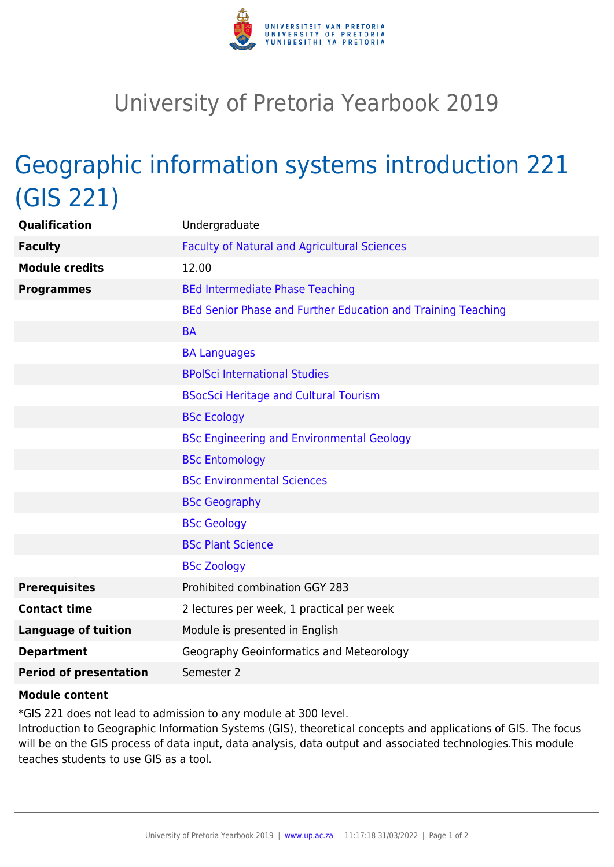

## University of Pretoria Yearbook 2019

## Geographic information systems introduction 221 (GIS 221)

| Qualification                 | Undergraduate                                                |
|-------------------------------|--------------------------------------------------------------|
| <b>Faculty</b>                | <b>Faculty of Natural and Agricultural Sciences</b>          |
| <b>Module credits</b>         | 12.00                                                        |
| <b>Programmes</b>             | <b>BEd Intermediate Phase Teaching</b>                       |
|                               | BEd Senior Phase and Further Education and Training Teaching |
|                               | <b>BA</b>                                                    |
|                               | <b>BA Languages</b>                                          |
|                               | <b>BPolSci International Studies</b>                         |
|                               | <b>BSocSci Heritage and Cultural Tourism</b>                 |
|                               | <b>BSc Ecology</b>                                           |
|                               | <b>BSc Engineering and Environmental Geology</b>             |
|                               | <b>BSc Entomology</b>                                        |
|                               | <b>BSc Environmental Sciences</b>                            |
|                               | <b>BSc Geography</b>                                         |
|                               | <b>BSc Geology</b>                                           |
|                               | <b>BSc Plant Science</b>                                     |
|                               | <b>BSc Zoology</b>                                           |
| <b>Prerequisites</b>          | Prohibited combination GGY 283                               |
| <b>Contact time</b>           | 2 lectures per week, 1 practical per week                    |
| <b>Language of tuition</b>    | Module is presented in English                               |
| <b>Department</b>             | Geography Geoinformatics and Meteorology                     |
| <b>Period of presentation</b> | Semester 2                                                   |

## **Module content**

\*GIS 221 does not lead to admission to any module at 300 level.

Introduction to Geographic Information Systems (GIS), theoretical concepts and applications of GIS. The focus will be on the GIS process of data input, data analysis, data output and associated technologies.This module teaches students to use GIS as a tool.